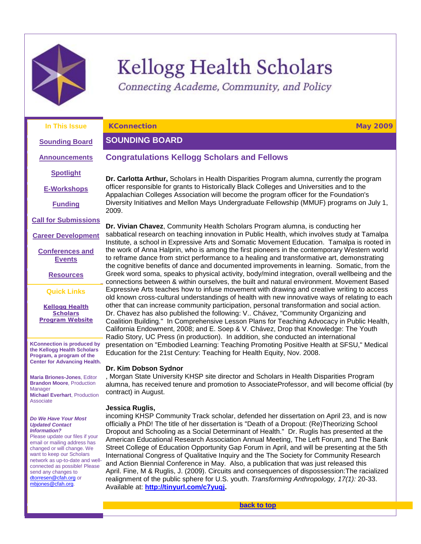

# Kellogg Health Scholars

<span id="page-0-2"></span><span id="page-0-0"></span>Connecting Academe, Community, and Policy

| In This Issue                                                                                                                                                                                                                                                                                                                                | <b>KConnection</b><br><b>May 2009</b>                                                                                                                                                                                                                                                                                                                                                                                                                                                                                                                                                                                                                                                                                                                                                                                                                                                                                                 |  |
|----------------------------------------------------------------------------------------------------------------------------------------------------------------------------------------------------------------------------------------------------------------------------------------------------------------------------------------------|---------------------------------------------------------------------------------------------------------------------------------------------------------------------------------------------------------------------------------------------------------------------------------------------------------------------------------------------------------------------------------------------------------------------------------------------------------------------------------------------------------------------------------------------------------------------------------------------------------------------------------------------------------------------------------------------------------------------------------------------------------------------------------------------------------------------------------------------------------------------------------------------------------------------------------------|--|
| <b>Sounding Board</b>                                                                                                                                                                                                                                                                                                                        | <b>SOUNDING BOARD</b>                                                                                                                                                                                                                                                                                                                                                                                                                                                                                                                                                                                                                                                                                                                                                                                                                                                                                                                 |  |
| <b>Announcements</b>                                                                                                                                                                                                                                                                                                                         | <b>Congratulations Kellogg Scholars and Fellows</b>                                                                                                                                                                                                                                                                                                                                                                                                                                                                                                                                                                                                                                                                                                                                                                                                                                                                                   |  |
| <b>Spotlight</b>                                                                                                                                                                                                                                                                                                                             | Dr. Carlotta Arthur, Scholars in Health Disparities Program alumna, currently the program                                                                                                                                                                                                                                                                                                                                                                                                                                                                                                                                                                                                                                                                                                                                                                                                                                             |  |
| <b>E-Workshops</b>                                                                                                                                                                                                                                                                                                                           | officer responsible for grants to Historically Black Colleges and Universities and to the<br>Appalachian Colleges Association will become the program officer for the Foundation's                                                                                                                                                                                                                                                                                                                                                                                                                                                                                                                                                                                                                                                                                                                                                    |  |
| <b>Funding</b>                                                                                                                                                                                                                                                                                                                               | Diversity Initiatives and Mellon Mays Undergraduate Fellowship (MMUF) programs on July 1,<br>2009.                                                                                                                                                                                                                                                                                                                                                                                                                                                                                                                                                                                                                                                                                                                                                                                                                                    |  |
| <b>Call for Submissions</b>                                                                                                                                                                                                                                                                                                                  | Dr. Vivian Chavez, Community Health Scholars Program alumna, is conducting her                                                                                                                                                                                                                                                                                                                                                                                                                                                                                                                                                                                                                                                                                                                                                                                                                                                        |  |
| <b>Career Development</b>                                                                                                                                                                                                                                                                                                                    | sabbatical research on teaching innovation in Public Health, which involves study at Tamalpa<br>Institute, a school in Expressive Arts and Somatic Movement Education. Tamalpa is rooted in                                                                                                                                                                                                                                                                                                                                                                                                                                                                                                                                                                                                                                                                                                                                           |  |
| <b>Conferences and</b><br><b>Events</b>                                                                                                                                                                                                                                                                                                      | the work of Anna Halprin, who is among the first pioneers in the contemporary Western world<br>to reframe dance from strict performance to a healing and transformative art, demonstrating<br>the cognitive benefits of dance and documented improvements in learning. Somatic, from the                                                                                                                                                                                                                                                                                                                                                                                                                                                                                                                                                                                                                                              |  |
| <b>Resources</b>                                                                                                                                                                                                                                                                                                                             | Greek word soma, speaks to physical activity, body/mind integration, overall wellbeing and the<br>connections between & within ourselves, the built and natural environment. Movement Based                                                                                                                                                                                                                                                                                                                                                                                                                                                                                                                                                                                                                                                                                                                                           |  |
| <b>Quick Links</b>                                                                                                                                                                                                                                                                                                                           | Expressive Arts teaches how to infuse movement with drawing and creative writing to access<br>old known cross-cultural understandings of health with new innovative ways of relating to each                                                                                                                                                                                                                                                                                                                                                                                                                                                                                                                                                                                                                                                                                                                                          |  |
| <b>Kellogg Health</b><br><b>Scholars</b><br><b>Program Website</b>                                                                                                                                                                                                                                                                           | other that can increase community participation, personal transformation and social action.<br>Dr. Chavez has also published the following: V Chávez, "Community Organizing and<br>Coalition Building." In Comprehensive Lesson Plans for Teaching Advocacy in Public Health,<br>California Endowment, 2008; and E. Soep & V. Chávez, Drop that Knowledge: The Youth<br>Radio Story, UC Press (in production). In addition, she conducted an international                                                                                                                                                                                                                                                                                                                                                                                                                                                                            |  |
| <b>KConnection is produced by</b><br>the Kellogg Health Scholars<br>Program, a program of the<br><b>Center for Advancing Health.</b>                                                                                                                                                                                                         | presentation on "Embodied Learning: Teaching Promoting Positive Health at SFSU," Medical<br>Education for the 21st Century: Teaching for Health Equity, Nov. 2008.                                                                                                                                                                                                                                                                                                                                                                                                                                                                                                                                                                                                                                                                                                                                                                    |  |
|                                                                                                                                                                                                                                                                                                                                              | Dr. Kim Dobson Sydnor                                                                                                                                                                                                                                                                                                                                                                                                                                                                                                                                                                                                                                                                                                                                                                                                                                                                                                                 |  |
| <b>Maria Briones-Jones, Editor</b><br><b>Brandon Moore, Production</b><br>Manager<br><b>Michael Everhart, Production</b><br>Associate                                                                                                                                                                                                        | , Morgan State University KHSP site director and Scholars in Health Disparities Program<br>alumna, has received tenure and promotion to AssociateProfessor, and will become official (by<br>contract) in August.                                                                                                                                                                                                                                                                                                                                                                                                                                                                                                                                                                                                                                                                                                                      |  |
| Do We Have Your Most<br><b>Updated Contact</b><br><b>Information?</b><br>Please update our files if your<br>email or mailing address has<br>changed or will change. We<br>want to keep our Scholars<br>network as up-to-date and well-<br>connected as possible! Please<br>send any changes to<br>dtorresen@cfah.org or<br>mbjones@cfah.org. | Jessica Ruglis,<br>incoming KHSP Community Track scholar, defended her dissertation on April 23, and is now<br>officially a PhD! The title of her dissertation is "Death of a Dropout: (Re)Theorizing School<br>Dropout and Schooling as a Social Determinant of Health." Dr. Ruglis has presented at the<br>American Educational Research Association Annual Meeting, The Left Forum, and The Bank<br>Street College of Education Opportunity Gap Forum in April, and will be presenting at the 5th<br>International Congress of Qualitative Inquiry and the The Society for Community Research<br>and Action Biennial Conference in May. Also, a publication that was just released this<br>April. Fine, M & Ruglis, J. (2009). Circuits and consequences of dispossession: The racialized<br>realignment of the public sphere for U.S. youth. Transforming Anthropology, 17(1): 20-33.<br>Available at: http://tinyurl.com/c7yuqj. |  |

<span id="page-0-1"></span>**[back to top](#page-0-2)**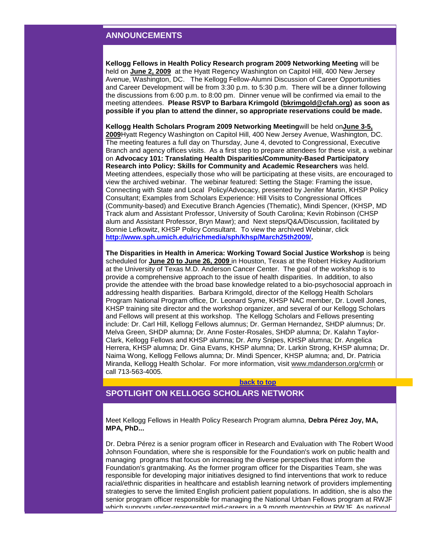# **ANNOUNCEMENTS**

**Kellogg Fellows in Health Policy Research program 2009 Networking Meeting** will be held on **June 2, 2009** at the Hyatt Regency Washington on Capitol Hill, 400 New Jersey Avenue, Washington, DC. The Kellogg Fellow-Alumni Discussion of Career Opportunities and Career Development will be from 3:30 p.m. to 5:30 p.m. There will be a dinner following the discussions from 6:00 p.m. to 8:00 pm. Dinner venue will be confirmed via email to the meeting attendees. **Please RSVP to Barbara Krimgold [\(bkrimgold@cfah.org\)](mailto:bkrimgold@cfah.org) as soon as possible if you plan to attend the dinner, so appropriate reservations could be made.**

**Kellogg Health Scholars Program 2009 Networking Meeting**will be held on**June 3-5, 2009**Hyatt Regency Washington on Capitol Hill, 400 New Jersey Avenue, Washington, DC. The meeting features a full day on Thursday, June 4, devoted to Congressional, Executive Branch and agency offices visits. As a first step to prepare attendees for these visit, a webinar on **Advocacy 101: Translating Health Disparities/Community-Based Participatory Research into Policy: Skills for Community and Academic Researchers** was held. Meeting attendees, especially those who will be participating at these visits, are encouraged to view the archived webinar. The webinar featured: Setting the Stage: Framing the issue, Connecting with State and Local Policy/Advocacy, presented by Jenifer Martin, KHSP Policy Consultant; Examples from Scholars Experience: Hill Visits to Congressional Offices (Community-based) and Executive Branch Agencies (Thematic), Mindi Spencer, (KHSP, MD Track alum and Assistant Professor, University of South Carolina; Kevin Robinson (CHSP alum and Assistant Professor, Bryn Mawr); and Next steps/Q&A/Discussion, facilitated by Bonnie Lefkowitz, KHSP Policy Consultant. To view the archived Webinar, click **[http://www.sph.umich.edu/richmedia/sph/khsp/March25th2009/.](http://rs6.net/tn.jsp?et=1102544916056&s=3608&e=0013HA21dAYPZoSqhQzztV4qj1gxCap3xfAZDEIeRVav-QdNGDo481EL9E95N06uhj629jpeRXmIVO8mcz12WSMQZn5UWHJG0pwR-VlP3vuud4YTBFwDbGKwPc5Jd3Z61j0uPGXmqgU0FbF_pUyqwKdwLMYr5-4PBKyfeDFkz0Mre0=)**

**The Disparities in Health in America: Working Toward Social Justice Workshop** is being scheduled for **June 20 to June 26, 2009** in Houston, Texas at the Robert Hickey Auditorium at the University of Texas M.D. Anderson Cancer Center. The goal of the workshop is to provide a comprehensive approach to the issue of health disparities. In addition, to also provide the attendee with the broad base knowledge related to a bio-psychosocial approach in addressing health disparities. Barbara Krimgold, director of the Kellogg Health Scholars Program National Program office, Dr. Leonard Syme, KHSP NAC member, Dr. Lovell Jones, KHSP training site director and the workshop organizer, and several of our Kellogg Scholars and Fellows will present at this workshop. The Kellogg Scholars and Fellows presenting include: Dr. Carl Hill, Kellogg Fellows alumnus; Dr. German Hernandez, SHDP alumnus; Dr. Melva Green, SHDP alumna; Dr. Anne Foster-Rosales, SHDP alumna; Dr. Kalahn Taylor-Clark, Kellogg Fellows and KHSP alumna; Dr. Amy Snipes, KHSP alumna; Dr. Angelica Herrera, KHSP alumna; Dr. Gina Evans, KHSP alumna; Dr. Larkin Strong, KHSP alumna; Dr. Naima Wong, Kellogg Fellows alumna; Dr. Mindi Spencer, KHSP alumna; and, Dr. Patricia Miranda, Kellogg Health Scholar. For more information, visit [www.mdanderson.org/crmh](http://rs6.net/tn.jsp?t=knspi8cab.0.izx8m9cab.5gytkqcab.1&ts=S0403&p=http%3A%2F%2Fwww.mdanderson.org%2Fcrmh) or call 713-563-4005.

#### **[back to top](#page-0-2)**

# <span id="page-1-0"></span>**SPOTLIGHT ON KELLOGG SCHOLARS NETWORK**

Meet Kellogg Fellows in Health Policy Research Program alumna, **Debra Pérez Joy, MA, MPA, PhD...**

Dr. Debra Pérez is a senior program officer in Research and Evaluation with The Robert Wood Johnson Foundation, where she is responsible for the Foundation's work on public health and managing programs that focus on increasing the diverse perspectives that inform the Foundation's grantmaking. As the former program officer for the Disparities Team, she was responsible for developing major initiatives designed to find interventions that work to reduce racial/ethnic disparities in healthcare and establish learning network of providers implementing strategies to serve the limited English proficient patient populations. In addition, she is also the senior program officer responsible for managing the National Urban Fellows program at RWJF which supports under-represented mid-careers in a 9 month mentorship at RWJF. As national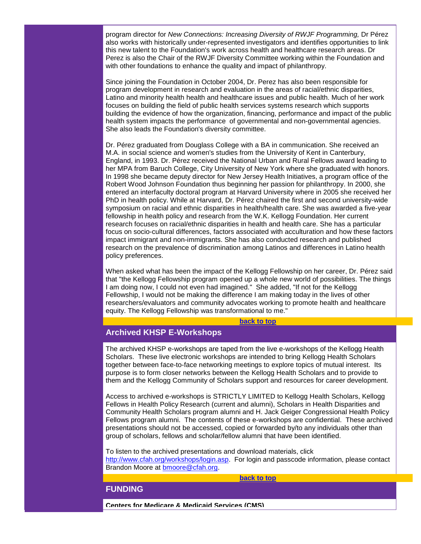program director for *New Connections: Increasing Diversity of RWJF Programming,* Dr Pérez also works with historically under-represented investigators and identifies opportunities to link this new talent to the Foundation's work across health and healthcare research areas. Dr Perez is also the Chair of the RWJF Diversity Committee working within the Foundation and with other foundations to enhance the quality and impact of philanthropy.

Since joining the Foundation in October 2004, Dr. Perez has also been responsible for program development in research and evaluation in the areas of racial/ethnic disparities, Latino and minority health health and healthcare issues and public health. Much of her work focuses on building the field of public health services systems research which supports building the evidence of how the organization, financing, performance and impact of the public health system impacts the performance of governmental and non-governmental agencies. She also leads the Foundation's diversity committee.

Dr. Pérez graduated from Douglass College with a BA in communication. She received an M.A. in social science and women's studies from the University of Kent in Canterbury, England, in 1993. Dr. Pérez received the National Urban and Rural Fellows award leading to her MPA from Baruch College, City University of New York where she graduated with honors. In 1998 she became deputy director for New Jersey Health Initiatives, a program office of the Robert Wood Johnson Foundation thus beginning her passion for philanthropy. In 2000, she entered an interfaculty doctoral program at Harvard University where in 2005 she received her PhD in health policy. While at Harvard, Dr. Pérez chaired the first and second university-wide symposium on racial and ethnic disparities in health/health care. She was awarded a five-year fellowship in health policy and research from the W.K. Kellogg Foundation. Her current research focuses on racial/ethnic disparities in health and health care. She has a particular focus on socio-cultural differences, factors associated with acculturation and how these factors impact immigrant and non-immigrants. She has also conducted research and published research on the prevalence of discrimination among Latinos and differences in Latino health policy preferences.

When asked what has been the impact of the Kellogg Fellowship on her career, Dr. Pérez said that "the Kellogg Fellowship program opened up a whole new world of possibilities. The things I am doing now, I could not even had imagined." She added, "If not for the Kellogg Fellowship, I would not be making the difference I am making today in the lives of other researchers/evaluators and community advocates working to promote health and healthcare equity. The Kellogg Fellowship was transformational to me."

#### **[back to top](#page-0-2)**

# <span id="page-2-0"></span>**Archived KHSP E-Workshops**

The archived KHSP e-workshops are taped from the live e-workshops of the Kellogg Health Scholars. These live electronic workshops are intended to bring Kellogg Health Scholars together between face-to-face networking meetings to explore topics of mutual interest. Its purpose is to form closer networks between the Kellogg Health Scholars and to provide to them and the Kellogg Community of Scholars support and resources for career development.

Access to archived e-workshops is STRICTLY LIMITED to Kellogg Health Scholars, Kellogg Fellows in Health Policy Research (current and alumni), Scholars in Health Disparities and Community Health Scholars program alumni and H. Jack Geiger Congressional Health Policy Fellows program alumni. The contents of these e-workshops are confidential. These archived presentations should not be accessed, copied or forwarded by/to any individuals other than group of scholars, fellows and scholar/fellow alumni that have been identified.

To listen to the archived presentations and download materials, click [http://www.cfah.org/workshops/login.asp.](http://rs6.net/tn.jsp?t=knspi8cab.0.zkuzrtcab.5gytkqcab.1&ts=S0403&p=http%3A%2F%2Fwww.cfah.org%2Fworkshops%2Flogin.asp) For login and passcode information, please contact Brandon Moore at [bmoore@cfah.org.](mailto:bmoore@cfah.org)

**[back to top](#page-0-2)**

#### <span id="page-2-1"></span>**FUNDING**

**Centers for Medicare & Medicaid Services (CMS)**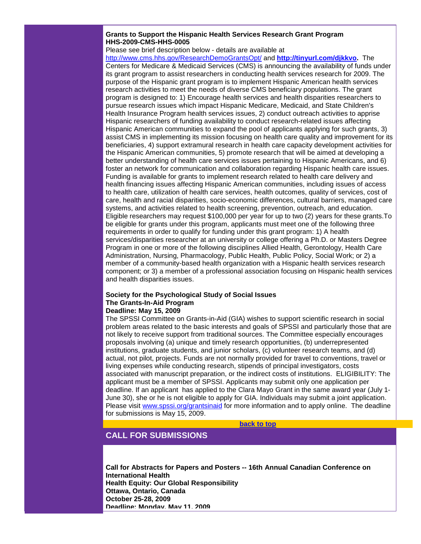# **Grants to Support the Hispanic Health Services Research Grant Program HHS-2009-CMS-HHS-0005**

## Please see brief description below - details are available at

[http://www.cms.hhs.gov/ResearchDemoGrantsOpt/](http://rs6.net/tn.jsp?t=knspi8cab.0.h88ri8cab.5gytkqcab.1&ts=S0403&p=http%3A%2F%2Fwww.cms.hhs.gov%2FResearchDemoGrantsOpt%2F) and **[http://tinyurl.com/djkkvo.](http://rs6.net/tn.jsp?t=knspi8cab.0.i88ri8cab.5gytkqcab.1&ts=S0403&p=http%3A%2F%2Ftinyurl.com%2Fdjkkvo)** The Centers for Medicare & Medicaid Services (CMS) is announcing the availability of funds under its grant program to assist researchers in conducting health services research for 2009. The purpose of the Hispanic grant program is to implement Hispanic American health services research activities to meet the needs of diverse CMS beneficiary populations. The grant program is designed to: 1) Encourage health services and health disparities researchers to pursue research issues which impact Hispanic Medicare, Medicaid, and State Children's Health Insurance Program health services issues, 2) conduct outreach activities to apprise Hispanic researchers of funding availability to conduct research-related issues affecting Hispanic American communities to expand the pool of applicants applying for such grants, 3) assist CMS in implementing its mission focusing on health care quality and improvement for its beneficiaries, 4) support extramural research in health care capacity development activities for the Hispanic American communities, 5) promote research that will be aimed at developing a better understanding of health care services issues pertaining to Hispanic Americans, and 6) foster an network for communication and collaboration regarding Hispanic health care issues. Funding is available for grants to implement research related to health care delivery and health financing issues affecting Hispanic American communities, including issues of access to health care, utilization of health care services, health outcomes, quality of services, cost of care, health and racial disparities, socio-economic differences, cultural barriers, managed care systems, and activities related to health screening, prevention, outreach, and education. Eligible researchers may request \$100,000 per year for up to two (2) years for these grants.To be eligible for grants under this program, applicants must meet one of the following three requirements in order to qualify for funding under this grant program: 1) A health services/disparities researcher at an university or college offering a Ph.D. or Masters Degree Program in one or more of the following disciplines Allied Health, Gerontology, Health Care Administration, Nursing, Pharmacology, Public Health, Public Policy, Social Work; or 2) a member of a community-based health organization with a Hispanic health services research component; or 3) a member of a professional association focusing on Hispanic health services and health disparities issues.

#### **Society for the Psychological Study of Social Issues The Grants-In-Aid Program Deadline: May 15, 2009**

The SPSSI Committee on Grants-in-Aid (GIA) wishes to support scientific research in social problem areas related to the basic interests and goals of SPSSI and particularly those that are not likely to receive support from traditional sources. The Committee especially encourages proposals involving (a) unique and timely research opportunities, (b) underrepresented institutions, graduate students, and junior scholars, (c) volunteer research teams, and (d) actual, not pilot, projects. Funds are not normally provided for travel to conventions, travel or living expenses while conducting research, stipends of principal investigators, costs associated with manuscript preparation, or the indirect costs of institutions. ELIGIBILITY: The applicant must be a member of SPSSI. Applicants may submit only one application per deadline. If an applicant has applied to the Clara Mayo Grant in the same award year (July 1- June 30), she or he is not eligible to apply for GIA. Individuals may submit a joint application. Please visit [www.spssi.org/grantsinaid](http://rs6.net/tn.jsp?t=knspi8cab.0.j88ri8cab.5gytkqcab.1&ts=S0403&p=http%3A%2F%2Fwww.spssi.org%2Fgrantsinaid) for more information and to apply online. The deadline for submissions is May 15, 2009.

**[back to top](#page-0-2)**

# <span id="page-3-0"></span>**CALL FOR SUBMISSIONS**

**Call for Abstracts for Papers and Posters -- 16th Annual Canadian Conference on International Health Health Equity: Our Global Responsibility Ottawa, Ontario, Canada October 25-28, 2009 Deadline: Monday, May 11, 2009**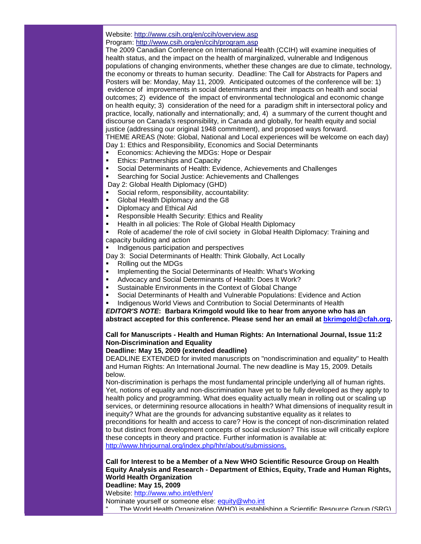#### Website: [http://www.csih.org/en/ccih/overview.asp](http://rs6.net/tn.jsp?t=knspi8cab.0.k88ri8cab.5gytkqcab.1&ts=S0403&p=http%3A%2F%2Fwww.csih.org%2Fen%2Fccih%2Foverview.asp) Program: [http://www.csih.org/en/ccih/program.asp](http://rs6.net/tn.jsp?t=knspi8cab.0.l88ri8cab.5gytkqcab.1&ts=S0403&p=http%3A%2F%2Fwww.csih.org%2Fen%2Fccih%2Fprogram.asp)

The 2009 Canadian Conference on International Health (CCIH) will examine inequities of health status, and the impact on the health of marginalized, vulnerable and Indigenous populations of changing environments, whether these changes are due to climate, technology, the economy or threats to human security. Deadline: The Call for Abstracts for Papers and Posters will be: Monday, May 11, 2009. Anticipated outcomes of the conference will be: 1) evidence of improvements in social determinants and their impacts on health and social outcomes; 2) evidence of the impact of environmental technological and economic change on health equity; 3) consideration of the need for a paradigm shift in intersectoral policy and practice, locally, nationally and internationally; and, 4) a summary of the current thought and discourse on Canada's responsibility, in Canada and globally, for health equity and social justice (addressing our original 1948 commitment), and proposed ways forward. THEME AREAS (Note: Global, National and Local experiences will be welcome on each day) Day 1: Ethics and Responsibility, Economics and Social Determinants

- Economics: Achieving the MDGs: Hope or Despair
- Ethics: Partnerships and Capacity
- Social Determinants of Health: Evidence, Achievements and Challenges
- Searching for Social Justice: Achievements and Challenges

Day 2: Global Health Diplomacy (GHD)

- Social reform, responsibility, accountability:
- Global Health Diplomacy and the G8
- **•** Diplomacy and Ethical Aid
- Responsible Health Security: Ethics and Reality
- Health in all policies: The Role of Global Health Diplomacy

 Role of academe/ the role of civil society in Global Health Diplomacy: Training and capacity building and action

Indigenous participation and perspectives

Day 3: Social Determinants of Health: Think Globally, Act Locally

- Rolling out the MDGs
- **IMPLEMENTIME:** Implementing the Social Determinants of Health: What's Working
- Advocacy and Social Determinants of Health: Does It Work?
- **Sustainable Environments in the Context of Global Change**
- Social Determinants of Health and Vulnerable Populations: Evidence and Action
- Indigenous World Views and Contribution to Social Determinants of Health

*EDITOR'S NOTE***: Barbara Krimgold would like to hear from anyone who has an abstract accepted for this conference. Please send her an email at [bkrimgold@cfah.org.](mailto:bkrimgold@cfah.org)**

# **Call for Manuscripts - Health and Human Rights: An International Journal, Issue 11:2 Non-Discrimination and Equality**

# **Deadline: May 15, 2009 (extended deadline)**

DEADLINE EXTENDED for invited manuscripts on "nondiscrimination and equality" to Health and Human Rights: An International Journal. The new deadline is May 15, 2009. Details below.

Non-discrimination is perhaps the most fundamental principle underlying all of human rights. Yet, notions of equality and non-discrimination have yet to be fully developed as they apply to health policy and programming. What does equality actually mean in rolling out or scaling up services, or determining resource allocations in health? What dimensions of inequality result in inequity? What are the grounds for advancing substantive equality as it relates to preconditions for health and access to care? How is the concept of non-discrimination related to but distinct from development concepts of social exclusion? This issue will critically explore these concepts in theory and practice. Further information is available at: [http://www.hhrjournal.org/index.php/hhr/about/submissions.](http://rs6.net/tn.jsp?t=knspi8cab.0.m88ri8cab.5gytkqcab.1&ts=S0403&p=http%3A%2F%2Fwww.hhrjournal.org%2Findex.php%2Fhhr%2Fabout%2Fsubmissions.)

**Call for Interest to be a Member of a New WHO Scientific Resource Group on Health Equity Analysis and Research - Department of Ethics, Equity, Trade and Human Rights, World Health Organization Deadline: May 15, 2009**

Website: [http://www.who.int/eth/en/](http://rs6.net/tn.jsp?t=knspi8cab.0.n88ri8cab.5gytkqcab.1&ts=S0403&p=http%3A%2F%2Fwww.who.int%2Feth%2Fen%2F)

Nominate yourself or someone else: [equity@who.int](mailto:equity@who.int)

The World Health Organization (WHO) is establishing a Scientific Resource Group (SRG)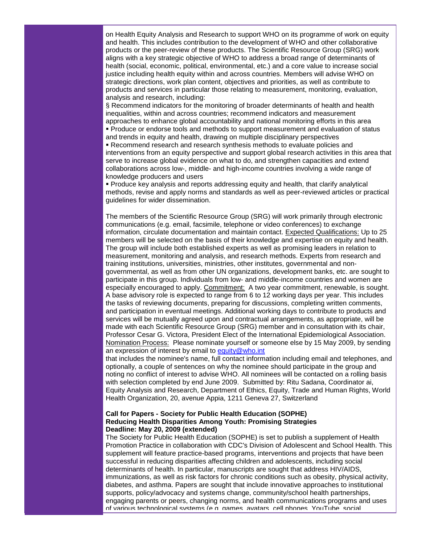on Health Equity Analysis and Research to support WHO on its programme of work on equity and health. This includes contribution to the development of WHO and other collaborative products or the peer-review of these products. The Scientific Resource Group (SRG) work aligns with a key strategic objective of WHO to address a broad range of determinants of health (social, economic, political, environmental, etc.) and a core value to increase social justice including health equity within and across countries. Members will advise WHO on strategic directions, work plan content, objectives and priorities, as well as contribute to products and services in particular those relating to measurement, monitoring, evaluation, analysis and research, including:

§ Recommend indicators for the monitoring of broader determinants of health and health inequalities, within and across countries; recommend indicators and measurement approaches to enhance global accountability and national monitoring efforts in this area

 Produce or endorse tools and methods to support measurement and evaluation of status and trends in equity and health, drawing on multiple disciplinary perspectives

 Recommend research and research synthesis methods to evaluate policies and interventions from an equity perspective and support global research activities in this area that serve to increase global evidence on what to do, and strengthen capacities and extend collaborations across low-, middle- and high-income countries involving a wide range of knowledge producers and users

 Produce key analysis and reports addressing equity and health, that clarify analytical methods, revise and apply norms and standards as well as peer-reviewed articles or practical guidelines for wider dissemination.

The members of the Scientific Resource Group (SRG) will work primarily through electronic communications (e.g. email, facsimile, telephone or video conferences) to exchange information, circulate documentation and maintain contact. Expected Qualifications: Up to 25 members will be selected on the basis of their knowledge and expertise on equity and health. The group will include both established experts as well as promising leaders in relation to measurement, monitoring and analysis, and research methods. Experts from research and training institutions, universities, ministries, other institutes, governmental and nongovernmental, as well as from other UN organizations, development banks, etc. are sought to participate in this group. Individuals from low- and middle-income countries and women are especially encouraged to apply. Commitment: A two year commitment, renewable, is sought. A base advisory role is expected to range from 6 to 12 working days per year. This includes the tasks of reviewing documents, preparing for discussions, completing written comments, and participation in eventual meetings. Additional working days to contribute to products and services will be mutually agreed upon and contractual arrangements, as appropriate, will be made with each Scientific Resource Group (SRG) member and in consultation with its chair, Professor Cesar G. Victora, President Elect of the International Epidemiological Association. Nomination Process: Please nominate yourself or someone else by 15 May 2009, by sending an expression of interest by email to [equity@who.int](mailto:equity@who.int)

that includes the nominee's name, full contact information including email and telephones, and optionally, a couple of sentences on why the nominee should participate in the group and noting no conflict of interest to advise WHO. All nominees will be contacted on a rolling basis with selection completed by end June 2009. Submitted by: Ritu Sadana, Coordinator ai, Equity Analysis and Research, Department of Ethics, Equity, Trade and Human Rights, World Health Organization, 20, avenue Appia, 1211 Geneva 27, Switzerland

## **Call for Papers - Society for Public Health Education (SOPHE) Reducing Health Disparities Among Youth: Promising Strategies Deadline: May 20, 2009 (extended)**

The Society for Public Health Education (SOPHE) is set to publish a supplement of Health Promotion Practice in collaboration with CDC's Division of Adolescent and School Health. This supplement will feature practice-based programs, interventions and projects that have been successful in reducing disparities affecting children and adolescents, including social determinants of health. In particular, manuscripts are sought that address HIV/AIDS, immunizations, as well as risk factors for chronic conditions such as obesity, physical activity, diabetes, and asthma. Papers are sought that include innovative approaches to institutional supports, policy/advocacy and systems change, community/school health partnerships, engaging parents or peers, changing norms, and health communications programs and uses of various technological systems (e.g. games, avatars, cell phones, YouTube, social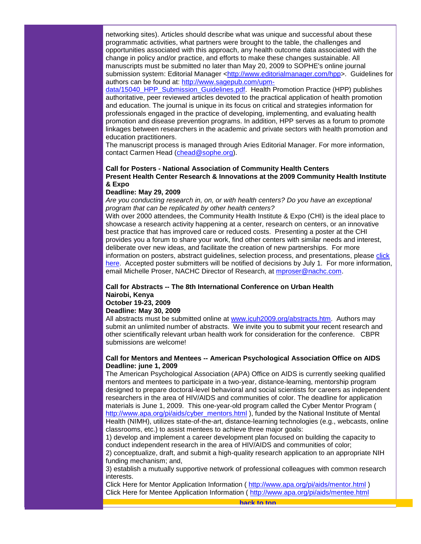networking sites). Articles should describe what was unique and successful about these programmatic activities, what partners were brought to the table, the challenges and opportunities associated with this approach, any health outcome data associated with the change in policy and/or practice, and efforts to make these changes sustainable. All manuscripts must be submitted no later than May 20, 2009 to SOPHE's online journal submission system: Editorial Manager [<http://www.editorialmanager.com/hpp>](http://rs6.net/tn.jsp?t=knspi8cab.0.szx8m9cab.5gytkqcab.1&ts=S0403&p=http%3A%2F%2Fwww.editorialmanager.com%2Fhpp). Guidelines for authors can be found at: [http://www.sagepub.com/upm-](http://rs6.net/tn.jsp?t=knspi8cab.0.tzx8m9cab.5gytkqcab.1&ts=S0403&p=http%3A%2F%2Fwww.sagepub.com%2Fupm-data%2F15040_HPP_Submission_Guidelines.pdf)

[data/15040\\_HPP\\_Submission\\_Guidelines.pdf.](http://rs6.net/tn.jsp?t=knspi8cab.0.tzx8m9cab.5gytkqcab.1&ts=S0403&p=http%3A%2F%2Fwww.sagepub.com%2Fupm-data%2F15040_HPP_Submission_Guidelines.pdf) Health Promotion Practice (HPP) publishes authoritative, peer reviewed articles devoted to the practical application of health promotion and education. The journal is unique in its focus on critical and strategies information for professionals engaged in the practice of developing, implementing, and evaluating health promotion and disease prevention programs. In addition, HPP serves as a forum to promote linkages between researchers in the academic and private sectors with health promotion and education practitioners.

The manuscript process is managed through Aries Editorial Manager. For more information, contact Carmen Head [\(chead@sophe.org\)](mailto:chead@sophe.org).

# **Call for Posters - National Association of Community Health Centers Present Health Center Research & Innovations at the 2009 Community Health Institute & Expo**

#### **Deadline: May 29, 2009**

*Are you conducting research in, on, or with health centers? Do you have an exceptional program that can be replicated by other health centers?*

With over 2000 attendees, the Community Health Institute & Expo (CHI) is the ideal place to showcase a research activity happening at a center, research on centers, or an innovative best practice that has improved care or reduced costs. Presenting a poster at the CHI provides you a forum to share your work, find other centers with similar needs and interest, deliberate over new ideas, and facilitate the creation of new partnerships. For more information on posters, abstract guidelines, selection process, and presentations, please [click](http://rs6.net/tn.jsp?t=knspi8cab.0.o88ri8cab.5gytkqcab.1&ts=S0403&p=http%3A%2F%2Fcts.vresp.com%2Fc%2F%3FNationalAssociationo%2Fcf4820ac9d%2F9e220d8935%2Fdf72db81b8%2Flog%3D1)  [her](http://rs6.net/tn.jsp?t=knspi8cab.0.o88ri8cab.5gytkqcab.1&ts=S0403&p=http%3A%2F%2Fcts.vresp.com%2Fc%2F%3FNationalAssociationo%2Fcf4820ac9d%2F9e220d8935%2Fdf72db81b8%2Flog%3D1)[e.](http://rs6.net/tn.jsp?t=knspi8cab.0.q88ri8cab.5gytkqcab.1&ts=S0403&p=http%3A%2F%2Fcts.vresp.com%2Fc%2F%3FNationalAssociationo%2Fcf4820ac9d%2F9e220d8935%2F27b7c7f483%2Flog%3D1) Accepted poster submitters will be notified of decisions by July 1. For more information, email Michelle Proser, NACHC Director of Research, at [mproser@nachc.com.](mailto:mproser@nachc.com)

# **Call for Abstracts -- The 8th International Conference on Urban Health Nairobi, Kenya**

# **October 19-23, 2009**

# **Deadline: May 30, 2009**

All abstracts must be submitted online at [www.icuh2009.org/abstracts.htm.](http://rs6.net/tn.jsp?t=knspi8cab.0.r88ri8cab.5gytkqcab.1&ts=S0403&p=http%3A%2F%2Fwww.icuh2009.org%2Fabstracts.htm) Authors may submit an unlimited number of abstracts. We invite you to submit your recent research and other scientifically relevant urban health work for consideration for the conference. CBPR submissions are welcome!

## **Call for Mentors and Mentees -- American Psychological Association Office on AIDS Deadline: june 1, 2009**

The American Psychological Association (APA) Office on AIDS is currently seeking qualified mentors and mentees to participate in a two-year, distance-learning, mentorship program designed to prepare doctoral-level behavioral and social scientists for careers as independent researchers in the area of HIV/AIDS and communities of color. The deadline for application materials is June 1, 2009. This one-year-old program called the Cyber Mentor Program ( [http://www.apa.org/pi/aids/cyber\\_mentors.html](http://rs6.net/tn.jsp?t=knspi8cab.0.s88ri8cab.5gytkqcab.1&ts=S0403&p=http%3A%2F%2Fwww.apa.org%2Fpi%2Faids%2Fcyber_mentors.html) ), funded by the National Institute of Mental Health (NIMH), utilizes state-of-the-art, distance-learning technologies (e.g., webcasts, online classrooms, etc.) to assist mentees to achieve three major goals:

1) develop and implement a career development plan focused on building the capacity to conduct independent research in the area of HIV/AIDS and communities of color; 2) conceptualize, draft, and submit a high-quality research application to an appropriate NIH funding mechanism; and,

3) establish a mutually supportive network of professional colleagues with common research interests.

<span id="page-6-0"></span>Click Here for Mentor Application Information ( [http://www.apa.org/pi/aids/mentor.html](http://rs6.net/tn.jsp?t=knspi8cab.0.t88ri8cab.5gytkqcab.1&ts=S0403&p=http%3A%2F%2Fwww.apa.org%2Fpi%2Faids%2Fmentor.html) ) Click Here for Mentee Application Information ( [http://www.apa.org/pi/aids/mentee.html](http://rs6.net/tn.jsp?t=knspi8cab.0.u88ri8cab.5gytkqcab.1&ts=S0403&p=http%3A%2F%2Fwww.apa.org%2Fpi%2Faids%2Fmentee.html)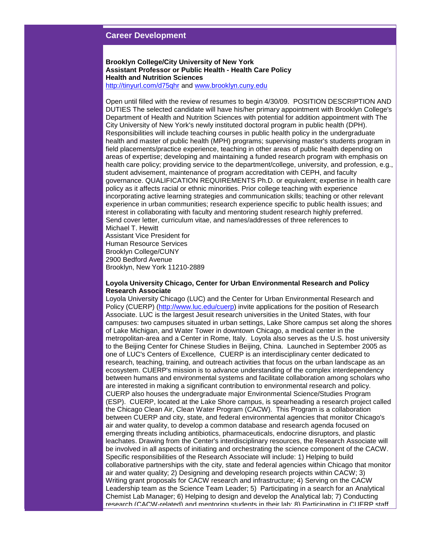# **Career Development**

**Brooklyn College/City University of New York Assistant Professor or Public Health - Health Care Policy Health and Nutrition Sciences** [http://tinyurl.com/d75qhr](http://rs6.net/tn.jsp?t=knspi8cab.0.v88ri8cab.5gytkqcab.1&ts=S0403&p=http%3A%2F%2Ftinyurl.com%2Fd75qhr) and [www.brooklyn.cuny.edu](http://rs6.net/tn.jsp?t=knspi8cab.0.w88ri8cab.5gytkqcab.1&ts=S0403&p=http%3A%2F%2Fwww.brooklyn.cuny.edu%2F)

Open until filled with the review of resumes to begin 4/30/09. POSITION DESCRIPTION AND DUTIES The selected candidate will have his/her primary appointment with Brooklyn College's Department of Health and Nutrition Sciences with potential for addition appointment with The City University of New York's newly instituted doctoral program in public health (DPH). Responsibilities will include teaching courses in public health policy in the undergraduate health and master of public health (MPH) programs; supervising master's students program in field placements/practice experience, teaching in other areas of public health depending on areas of expertise; developing and maintaining a funded research program with emphasis on health care policy; providing service to the department/college, university, and profession, e.g., student advisement, maintenance of program accreditation with CEPH, and faculty governance. QUALIFICATION REQUIREMENTS Ph.D. or equivalent; expertise in health care policy as it affects racial or ethnic minorities. Prior college teaching with experience incorporating active learning strategies and communication skills; teaching or other relevant experience in urban communities; research experience specific to public health issues; and interest in collaborating with faculty and mentoring student research highly preferred. Send cover letter, curriculum vitae, and names/addresses of three references to Michael T. Hewitt

Assistant Vice President for Human Resource Services Brooklyn College/CUNY 2900 Bedford Avenue Brooklyn, New York 11210-2889

#### **Loyola University Chicago, Center for Urban Environmental Research and Policy Research Associate**

Loyola University Chicago (LUC) and the Center for Urban Environmental Research and Policy (CUERP) [\(http://www.luc.edu/cuerp\)](http://rs6.net/tn.jsp?t=knspi8cab.0.x88ri8cab.5gytkqcab.1&ts=S0403&p=http%3A%2F%2Fwww.luc.edu%2Fcuerp) invite applications for the position of Research Associate. LUC is the largest Jesuit research universities in the United States, with four campuses: two campuses situated in urban settings, Lake Shore campus set along the shores of Lake Michigan, and Water Tower in downtown Chicago, a medical center in the metropolitan-area and a Center in Rome, Italy. Loyola also serves as the U.S. host university to the Beijing Center for Chinese Studies in Beijing, China. Launched in September 2005 as one of LUC's Centers of Excellence, CUERP is an interdisciplinary center dedicated to research, teaching, training, and outreach activities that focus on the urban landscape as an ecosystem. CUERP's mission is to advance understanding of the complex interdependency between humans and environmental systems and facilitate collaboration among scholars who are interested in making a significant contribution to environmental research and policy. CUERP also houses the undergraduate major Environmental Science/Studies Program (ESP). CUERP, located at the Lake Shore campus, is spearheading a research project called the Chicago Clean Air, Clean Water Program (CACW). This Program is a collaboration between CUERP and city, state, and federal environmental agencies that monitor Chicago's air and water quality, to develop a common database and research agenda focused on emerging threats including antibiotics, pharmaceuticals, endocrine disruptors, and plastic leachates. Drawing from the Center's interdisciplinary resources, the Research Associate will be involved in all aspects of initiating and orchestrating the science component of the CACW. Specific responsibilities of the Research Associate will include: 1) Helping to build collaborative partnerships with the city, state and federal agencies within Chicago that monitor air and water quality; 2) Designing and developing research projects within CACW; 3) Writing grant proposals for CACW research and infrastructure; 4) Serving on the CACW Leadership team as the Science Team Leader; 5) Participating in a search for an Analytical Chemist Lab Manager; 6) Helping to design and develop the Analytical lab; 7) Conducting research (CACW-related) and mentoring students in their lab; 8) Participating in CUERP staff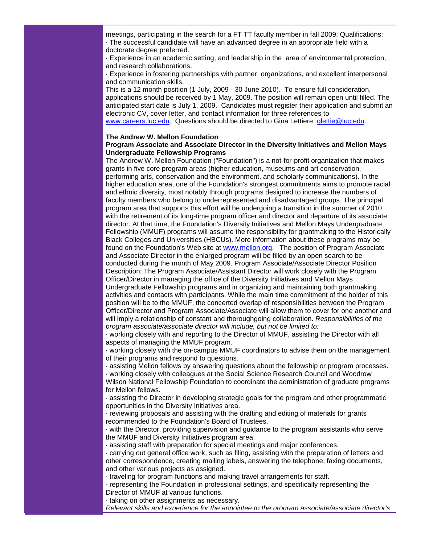meetings, participating in the search for a FT TT faculty member in fall 2009. Qualifications: · The successful candidate will have an advanced degree in an appropriate field with a doctorate degree preferred.

· Experience in an academic setting, and leadership in the area of environmental protection, and research collaborations.

· Experience in fostering partnerships with partner organizations, and excellent interpersonal and communication skills.

This is a 12 month position (1 July, 2009 - 30 June 2010). To ensure full consideration, applications should be received by 1 May, 2009. The position will remain open until filled. The anticipated start date is July 1, 2009. Candidates must register their application and submit an electronic CV, cover letter, and contact information for three references to [www.careers.luc.edu.](http://rs6.net/tn.jsp?t=knspi8cab.0.y88ri8cab.5gytkqcab.1&ts=S0403&p=http%3A%2F%2Fwww.careers.luc.edu%2F) Questions should be directed to Gina Lettiere, glettie@luc.edu.

#### **The Andrew W. Mellon Foundation**

#### **Program Associate and Associate Director in the Diversity Initiatives and Mellon Mays Undergraduate Fellowship Programs**

The Andrew W. Mellon Foundation ("Foundation") is a not-for-profit organization that makes grants in five core program areas (higher education, museums and art conservation, performing arts, conservation and the environment, and scholarly communications). In the higher education area, one of the Foundation's strongest commitments aims to promote racial and ethnic diversity, most notably through programs designed to increase the numbers of faculty members who belong to underrepresented and disadvantaged groups. The principal program area that supports this effort will be undergoing a transition in the summer of 2010 with the retirement of its long-time program officer and director and departure of its associate director. At that time, the Foundation's Diversity Initiatives and Mellon Mays Undergraduate Fellowship (MMUF) programs will assume the responsibility for grantmaking to the Historically Black Colleges and Universities (HBCUs). More information about these programs may be found on the Foundation's Web site at [www.mellon.org.](http://rs6.net/tn.jsp?t=knspi8cab.0.z88ri8cab.5gytkqcab.1&ts=S0403&p=http%3A%2F%2Fwww.mellon.org%2F) The position of Program Associate and Associate Director in the enlarged program will be filled by an open search to be conducted during the month of May 2009. Program Associate/Associate Director Position Description: The Program Associate/Assistant Director will work closely with the Program Officer/Director in managing the office of the Diversity Initiatives and Mellon Mays Undergraduate Fellowship programs and in organizing and maintaining both grantmaking activities and contacts with participants. While the main time commitment of the holder of this position will be to the MMUF, the concerted overlap of responsibilities between the Program Officer/Director and Program Associate/Associate will allow them to cover for one another and will imply a relationship of constant and thoroughgoing collaboration. *Responsibilities of the program associate/associate director will include, but not be limited to:* 

· working closely with and reporting to the Director of MMUF, assisting the Director with all aspects of managing the MMUF program.

· working closely with the on-campus MMUF coordinators to advise them on the management of their programs and respond to questions.

· assisting Mellon fellows by answering questions about the fellowship or program processes. · working closely with colleagues at the Social Science Research Council and Woodrow Wilson National Fellowship Foundation to coordinate the administration of graduate programs

for Mellon fellows.

· assisting the Director in developing strategic goals for the program and other programmatic opportunities in the Diversity Initiatives area.

· reviewing proposals and assisting with the drafting and editing of materials for grants recommended to the Foundation's Board of Trustees.

· with the Director, providing supervision and guidance to the program assistants who serve the MMUF and Diversity Initiatives program area.

· assisting staff with preparation for special meetings and major conferences.

· carrying out general office work, such as filing, assisting with the preparation of letters and other correspondence, creating mailing labels, answering the telephone, faxing documents, and other various projects as assigned.

· traveling for program functions and making travel arrangements for staff.

· representing the Foundation in professional settings, and specifically representing the Director of MMUF at various functions.

· taking on other assignments as necessary.

*Relevant skills and experience for the appointee to the program associate/associate director's*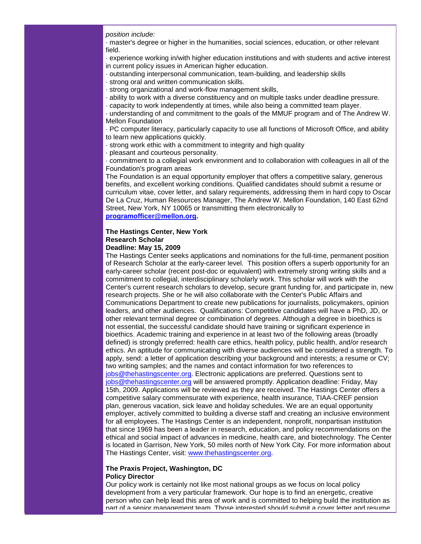*position include:* 

· master's degree or higher in the humanities, social sciences, education, or other relevant field.

· experience working in/with higher education institutions and with students and active interest in current policy issues in American higher education.

· outstanding interpersonal communication, team-building, and leadership skills

· strong oral and written communication skills.

· strong organizational and work-flow management skills,

· ability to work with a diverse constituency and on multiple tasks under deadline pressure.

· capacity to work independently at times, while also being a committed team player.

· understanding of and commitment to the goals of the MMUF program and of The Andrew W. Mellon Foundation

· PC computer literacy, particularly capacity to use all functions of Microsoft Office, and ability to learn new applications quickly.

· strong work ethic with a commitment to integrity and high quality

· pleasant and courteous personality.

· commitment to a collegial work environment and to collaboration with colleagues in all of the Foundation's program areas

The Foundation is an equal opportunity employer that offers a competitive salary, generous benefits, and excellent working conditions. Qualified candidates should submit a resume or curriculum vitae, cover letter, and salary requirements, addressing them in hard copy to Oscar De La Cruz, Human Resources Manager, The Andrew W. Mellon Foundation, 140 East 62nd Street, New York, NY 10065 or transmitting them electronically to **[programofficer@mellon.org.](mailto:programofficer@mellon.org)**

# **The Hastings Center, New York Research Scholar**

# **Deadline: May 15, 2009**

The Hastings Center seeks applications and nominations for the full-time, permanent position of Research Scholar at the early-career level. This position offers a superb opportunity for an early-career scholar (recent post-doc or equivalent) with extremely strong writing skills and a commitment to collegial, interdisciplinary scholarly work. This scholar will work with the Center's current research scholars to develop, secure grant funding for, and participate in, new research projects. She or he will also collaborate with the Center's Public Affairs and Communications Department to create new publications for journalists, policymakers, opinion leaders, and other audiences. Qualifications: Competitive candidates will have a PhD, JD, or other relevant terminal degree or combination of degrees. Although a degree in bioethics is not essential, the successful candidate should have training or significant experience in bioethics. Academic training and experience in at least two of the following areas (broadly defined) is strongly preferred: health care ethics, health policy, public health, and/or research ethics. An aptitude for communicating with diverse audiences will be considered a strength. To apply, send: a letter of application describing your background and interests; a resume or CV; two writing samples; and the names and contact information for two references to [jobs@thehastingscenter.org.](mailto:jobs@thehastingscenter.org) Electronic applications are preferred. Questions sent to [jobs@thehastingscenter.org](mailto:jobs@thehastingscenter.org) will be answered promptly. Application deadline: Friday, May 15th, 2009. Applications will be reviewed as they are received. The Hastings Center offers a competitive salary commensurate with experience, health insurance, TIAA-CREF pension plan, generous vacation, sick leave and holiday schedules. We are an equal opportunity employer, actively committed to building a diverse staff and creating an inclusive environment for all employees. The Hastings Center is an independent, nonprofit, nonpartisan institution that since 1969 has been a leader in research, education, and policy recommendations on the ethical and social impact of advances in medicine, health care, and biotechnology. The Center is located in Garrison, New York, 50 miles north of New York City. For more information about The Hastings Center, visit: [www.thehastingscenter.org.](http://rs6.net/tn.jsp?t=knspi8cab.0.988ri8cab.5gytkqcab.1&ts=S0403&p=http%3A%2F%2Fwww.thehastingscenter.org%2F)

#### **The Praxis Project, Washington, DC Policy Director**

Our policy work is certainly not like most national groups as we focus on local policy development from a very particular framework. Our hope is to find an energetic, creative person who can help lead this area of work and is committed to helping build the institution as part of a senior management team. Those interested should submit a cover letter and resume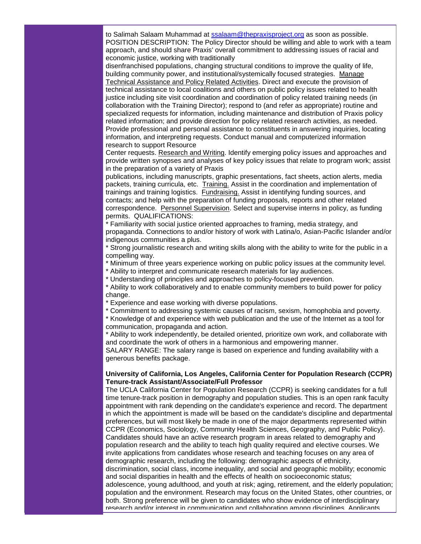to Salimah Salaam Muhammad at [ssalaam@thepraxisproject.org](mailto:ssalaam@thepraxisproject.org) as soon as possible. POSITION DESCRIPTION: The Policy Director should be willing and able to work with a team approach, and should share Praxis' overall commitment to addressing issues of racial and economic justice, working with traditionally

disenfranchised populations, changing structural conditions to improve the quality of life, building community power, and institutional/systemically focused strategies. Manage Technical Assistance and Policy Related Activities. Direct and execute the provision of technical assistance to local coalitions and others on public policy issues related to health justice including site visit coordination and coordination of policy related training needs (in collaboration with the Training Director); respond to (and refer as appropriate) routine and specialized requests for information, including maintenance and distribution of Praxis policy related information; and provide direction for policy related research activities, as needed. Provide professional and personal assistance to constituents in answering inquiries, locating information, and interpreting requests. Conduct manual and computerized information research to support Resource

Center requests. Research and Writing. Identify emerging policy issues and approaches and provide written synopses and analyses of key policy issues that relate to program work; assist in the preparation of a variety of Praxis

publications, including manuscripts, graphic presentations, fact sheets, action alerts, media packets, training curricula, etc. Training. Assist in the coordination and implementation of trainings and training logistics. Fundraising. Assist in identifying funding sources, and contacts; and help with the preparation of funding proposals, reports and other related correspondence. Personnel Supervision. Select and supervise interns in policy, as funding permits. QUALIFICATIONS:

\* Familiarity with social justice oriented approaches to framing, media strategy, and propaganda. Connections to and/or history of work with Latina/o, Asian-Pacific Islander and/or indigenous communities a plus.

\* Strong journalistic research and writing skills along with the ability to write for the public in a compelling way.

\* Minimum of three years experience working on public policy issues at the community level.

\* Ability to interpret and communicate research materials for lay audiences.

\* Understanding of principles and approaches to policy-focused prevention.

\* Ability to work collaboratively and to enable community members to build power for policy change.

\* Experience and ease working with diverse populations.

\* Commitment to addressing systemic causes of racism, sexism, homophobia and poverty.

\* Knowledge of and experience with web publication and the use of the Internet as a tool for communication, propaganda and action.

\* Ability to work independently, be detailed oriented, prioritize own work, and collaborate with and coordinate the work of others in a harmonious and empowering manner.

SALARY RANGE: The salary range is based on experience and funding availability with a generous benefits package.

#### **University of California, Los Angeles, California Center for Population Research (CCPR) Tenure-track Assistant/Associate/Full Professor**

The UCLA California Center for Population Research (CCPR) is seeking candidates for a full time tenure-track position in demography and population studies. This is an open rank faculty appointment with rank depending on the candidate's experience and record. The department in which the appointment is made will be based on the candidate's discipline and departmental preferences, but will most likely be made in one of the major departments represented within CCPR (Economics, Sociology, Community Health Sciences, Geography, and Public Policy). Candidates should have an active research program in areas related to demography and population research and the ability to teach high quality required and elective courses. We invite applications from candidates whose research and teaching focuses on any area of demographic research, including the following: demographic aspects of ethnicity, discrimination, social class, income inequality, and social and geographic mobility; economic and social disparities in health and the effects of health on socioeconomic status; adolescence, young adulthood, and youth at risk; aging, retirement, and the elderly population; population and the environment. Research may focus on the United States, other countries, or both. Strong preference will be given to candidates who show evidence of interdisciplinary research and/or interest in communication and collaboration among disciplines. Applicants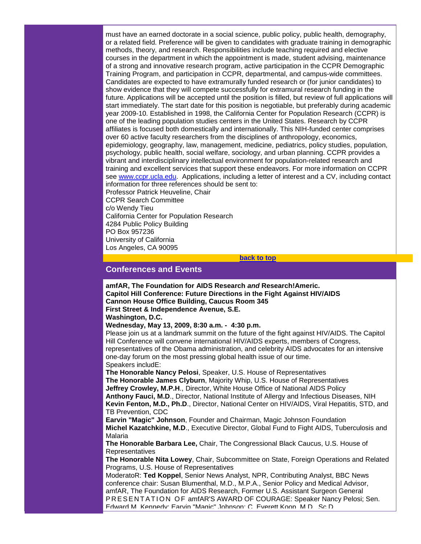must have an earned doctorate in a social science, public policy, public health, demography, or a related field. Preference will be given to candidates with graduate training in demographic methods, theory, and research. Responsibilities include teaching required and elective courses in the department in which the appointment is made, student advising, maintenance of a strong and innovative research program, active participation in the CCPR Demographic Training Program, and participation in CCPR, departmental, and campus-wide committees. Candidates are expected to have extramurally funded research or (for junior candidates) to show evidence that they will compete successfully for extramural research funding in the future. Applications will be accepted until the position is filled, but review of full applications will start immediately. The start date for this position is negotiable, but preferably during academic year 2009-10. Established in 1998, the California Center for Population Research (CCPR) is one of the leading population studies centers in the United States. Research by CCPR affiliates is focused both domestically and internationally. This NIH-funded center comprises over 60 active faculty researchers from the disciplines of anthropology, economics, epidemiology, geography, law, management, medicine, pediatrics, policy studies, population, psychology, public health, social welfare, sociology, and urban planning. CCPR provides a vibrant and interdisciplinary intellectual environment for population-related research and training and excellent services that support these endeavors. For more information on CCPR see [www.ccpr.ucla.edu.](http://rs6.net/tn.jsp?t=knspi8cab.0.x4fcdzcab.5gytkqcab.1&ts=S0403&p=http%3A%2F%2Fwww.ccpr.ucla.edu%2F) Applications, including a letter of interest and a CV, including contact information for three references should be sent to: Professor Patrick Heuveline, Chair CCPR Search Committee c/o Wendy Tieu California Center for Population Research

4284 Public Policy Building PO Box 957236 University of California Los Angeles, CA 90095

**[back to top](#page-0-2)**

# <span id="page-11-0"></span>**Conferences and Events**

**amfAR, The Foundation for AIDS Research** *and* **Research!Americ. Capitol Hill Conference: Future Directions in the Fight Against HIV/AIDS Cannon House Office Building, Caucus Room 345 First Street & Independence Avenue, S.E. Washington, D.C.**

**Wednesday, May 13, 2009, 8:30 a.m. - 4:30 p.m.**

Please join us at a landmark summit on the future of the fight against HIV/AIDS. The Capitol Hill Conference will convene international HIV/AIDS experts, members of Congress, representatives of the Obama administration, and celebrity AIDS advocates for an intensive one-day forum on the most pressing global health issue of our time. Speakers includE:

**The Honorable Nancy Pelosi**, Speaker, U.S. House of Representatives **The Honorable James Clyburn**, Majority Whip, U.S. House of Representatives **Jeffrey Crowley, M.P.H**., Director, White House Office of National AIDS Policy **Anthony Fauci, M.D**., Director, National Institute of Allergy and Infectious Diseases, NIH **Kevin Fenton, M.D., Ph.D**., Director, National Center on HIV/AIDS, Viral Hepatitis, STD, and TB Prevention, CDC

**Earvin "Magic" Johnson**, Founder and Chairman, Magic Johnson Foundation **Michel Kazatchkine, M.D**., Executive Director, Global Fund to Fight AIDS, Tuberculosis and Malaria

**The Honorable Barbara Lee,** Chair, The Congressional Black Caucus, U.S. House of **Representatives** 

**The Honorable Nita Lowey**, Chair, Subcommittee on State, Foreign Operations and Related Programs, U.S. House of Representatives

ModeratoR: **Ted Koppel**, Senior News Analyst, NPR, Contributing Analyst, BBC News conference chair: Susan Blumenthal, M.D., M.P.A., Senior Policy and Medical Advisor, amfAR, The Foundation for AIDS Research, Former U.S. Assistant Surgeon General PRESENTATION OF amfAR'S AWARD OF COURAGE: Speaker Nancy Pelosi; Sen. Edward M. Kennedy; Earvin "Magic" Johnson; C. Everett Koop, M.D., Sc.D.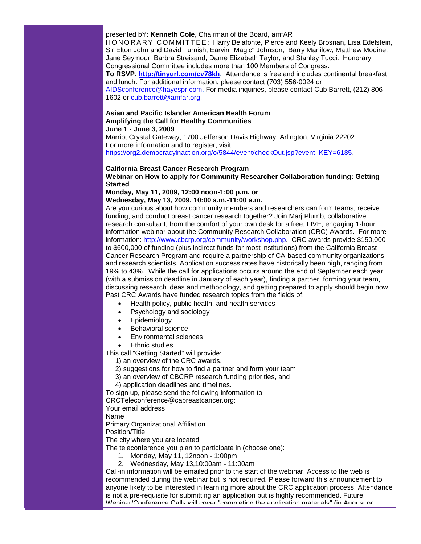presented bY: **Kenneth Cole**, Chairman of the Board, amfAR

HONORARY COMMITTEE: Harry Belafonte, Pierce and Keely Brosnan, Lisa Edelstein, Sir Elton John and David Furnish, Earvin "Magic" Johnson, Barry Manilow, Matthew Modine, Jane Seymour, Barbra Streisand, Dame Elizabeth Taylor, and Stanley Tucci. Honorary Congressional Committee includes more than 100 Members of Congress. **To RSVP**: **[http://tinyurl.com/cv78kh](http://rs6.net/tn.jsp?t=knspi8cab.0.888ri8cab.5gytkqcab.1&ts=S0403&p=http%3A%2F%2Ftinyurl.com%2Fcv78kh)**. Attendance is free and includes continental breakfast

and lunch. For additional information, please contact (703) 556-0024 or [AIDSconference@hayespr.com.](mailto:AIDSconference@hayespr.com) For media inquiries, please contact Cub Barrett, (212) 806 1602 or [cub.barrett@amfar.org.](mailto:cub.barrett@amfar.org)

#### **Asian and Pacific Islander American Health Forum Amplifying the Call for Healthy Communities June 1 - June 3, 2009**

Marriot Crystal Gateway, 1700 Jefferson Davis Highway, Arlington, Virginia 22202 For more information and to register, visit [https://org2.democracyinaction.org/o/5844/event/checkOut.jsp?event\\_KEY=6185,](http://rs6.net/tn.jsp?t=knspi8cab.0.788ri8cab.5gytkqcab.1&ts=S0403&p=https%3A%2F%2Forg2.democracyinaction.org%2Fo%2F5844%2Fevent%2FcheckOut.jsp%3Fevent_KEY%3D6185)

#### **California Breast Cancer Research Program**

**Webinar on How to apply for Community Researcher Collaboration funding: Getting Started**

# **Monday, May 11, 2009, 12:00 noon-1:00 p.m. or**

**Wednesday, May 13, 2009, 10:00 a.m.-11:00 a.m.**

Are you curious about how community members and researchers can form teams, receive funding, and conduct breast cancer research together? Join Marj Plumb, collaborative research consultant, from the comfort of your own desk for a free, LIVE, engaging 1-hour information webinar about the Community Research Collaboration (CRC) Awards. For more information: [http://www.cbcrp.org/community/workshop.php.](http://rs6.net/tn.jsp?t=knspi8cab.0.688ri8cab.5gytkqcab.1&ts=S0403&p=http%3A%2F%2Fwww.cbcrp.org%2Fcommunity%2Fworkshop.php) CRC awards provide \$150,000 to \$600,000 of funding (plus indirect funds for most institutions) from the California Breast Cancer Research Program and require a partnership of CA-based community organizations and research scientists. Application success rates have historically been high, ranging from 19% to 43%. While the call for applications occurs around the end of September each year (with a submission deadline in January of each year), finding a partner, forming your team, discussing research ideas and methodology, and getting prepared to apply should begin now. Past CRC Awards have funded research topics from the fields of:

- Health policy, public health, and health services
- Psychology and sociology
- **Epidemiology**
- Behavioral science
- Environmental sciences
- **Ethnic studies**

This call "Getting Started" will provide:

- 1) an overview of the CRC awards,
- 2) suggestions for how to find a partner and form your team,
- 3) an overview of CBCRP research funding priorities, and
- 4) application deadlines and timelines.

To sign up, please send the following information to

[CRCTeleconference@cabreastcancer.org:](mailto:CRCTeleconference@cabreastcancer.org)

Your email address

Name

Primary Organizational Affiliation

Position/Title

The city where you are located

The teleconference you plan to participate in (choose one):

1. Monday, May 11, 12noon - 1:00pm

2. Wednesday, May 13,10:00am - 11:00am

Call-in information will be emailed prior to the start of the webinar. Access to the web is recommended during the webinar but is not required. Please forward this announcement to anyone likely to be interested in learning more about the CRC application process. Attendance is not a pre-requisite for submitting an application but is highly recommended. Future Webinar/Conference Calls will cover "completing the application materials" (in August or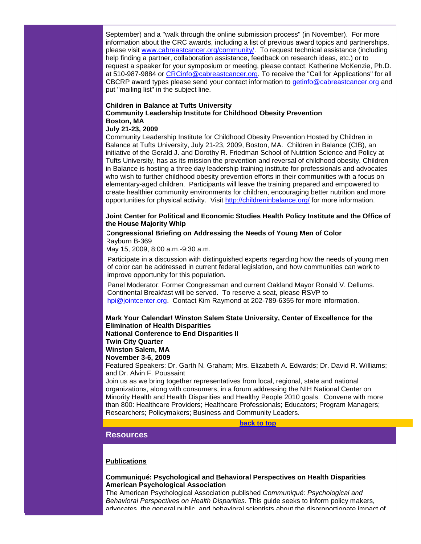September) and a "walk through the online submission process" (in November). For more information about the CRC awards, including a list of previous award topics and partnerships, please visit [www.cabreastcancer.org/community/.](http://rs6.net/tn.jsp?t=knspi8cab.0.588ri8cab.5gytkqcab.1&ts=S0403&p=http%3A%2F%2Fwww.cabreastcancer.org%2Fcommunity%2F) To request technical assistance (including help finding a partner, collaboration assistance, feedback on research ideas, etc.) or to request a speaker for your symposium or meeting, please contact: Katherine McKenzie, Ph.D. at 510-987-9884 or [CRCinfo@cabreastcancer.org.](mailto:CRCinfo@cabreastcancer.org) To receive the "Call for Applications" for all CBCRP award types please send your contact information to [getinfo@cabreastcancer.org](mailto:getinfo@cabreastcancer.org) and put "mailing list" in the subject line.

# **Children in Balance at Tufts University Community Leadership Institute for Childhood Obesity Prevention Boston, MA**

#### **July 21-23, 2009**

Community Leadership Institute for Childhood Obesity Prevention Hosted by Children in Balance at Tufts University, July 21-23, 2009, Boston, MA. Children in Balance (CIB), an initiative of the Gerald J. and Dorothy R. Friedman School of Nutrition Science and Policy at Tufts University, has as its mission the prevention and reversal of childhood obesity. Children in Balance is hosting a three day leadership training institute for professionals and advocates who wish to further childhood obesity prevention efforts in their communities with a focus on elementary-aged children. Participants will leave the training prepared and empowered to create healthier community environments for children, encouraging better nutrition and more opportunities for physical activity. Visit [http://childreninbalance.org/](http://rs6.net/tn.jsp?t=knspi8cab.0.488ri8cab.5gytkqcab.1&ts=S0403&p=http%3A%2F%2Fchildreninbalance.org%2F) for more information.

# **Joint Center for Political and Economic Studies Health Policy Institute and the Office of the House Majority Whip**

## **Congressional Briefing on Addressing the Needs of Young Men of Color** Rayburn B-369

May 15, 2009, 8:00 a.m.-9:30 a.m.

Participate in a discussion with distinguished experts regarding how the needs of young men of color can be addressed in current federal legislation, and how communities can work to improve opportunity for this population.

Panel Moderator: Former Congressman and current Oakland Mayor Ronald V. Dellums. Continental Breakfast will be served. To reserve a seat, please RSVP to [hpi@jointcenter.org.](mailto:hpi@jointcenter.org) Contact Kim Raymond at 202-789-6355 for more information.

**Mark Your Calendar! Winston Salem State University, Center of Excellence for the Elimination of Health Disparities National Conference to End Disparities II Twin City Quarter**

**Winston Salem, MA November 3-6, 2009**

Featured Speakers: Dr. Garth N. Graham; Mrs. Elizabeth A. Edwards; Dr. David R. Williams; and Dr. Alvin F. Poussaint

Join us as we bring together representatives from local, regional, state and national organizations, along with consumers, in a forum addressing the NIH National Center on Minority Health and Health Disparities and Healthy People 2010 goals. Convene with more than 800: Healthcare Providers; Healthcare Professionals; Educators; Program Managers; Researchers; Policymakers; Business and Community Leaders.

#### **[back to top](#page-0-2)**

# <span id="page-13-0"></span>**Resources**

#### **Publications**

#### **Communiqué: Psychological and Behavioral Perspectives on Health Disparities American Psychological Association**

The American Psychological Association published *Communiqué: Psychological and Behavioral Perspectives on Health Disparities*. This guide seeks to inform policy makers, advocates, the general public, and behavioral scientists about the disproportionate impact of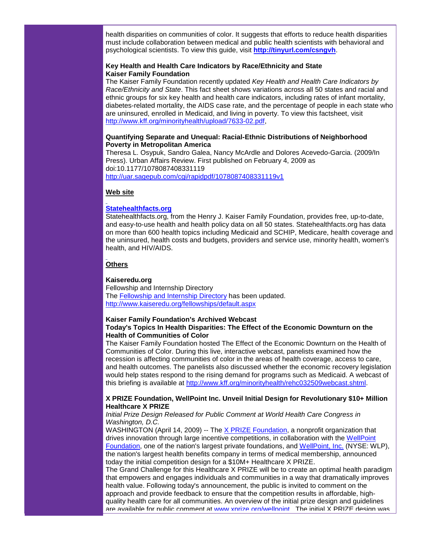health disparities on communities of color. It suggests that efforts to reduce health disparities must include collaboration between medical and public health scientists with behavioral and psychological scientists. To view this guide, visit **[http://tinyurl.com/csngvh](http://rs6.net/tn.jsp?t=knspi8cab.0.a78ri8cab.5gytkqcab.1&ts=S0403&p=http%3A%2F%2Ftinyurl.com%2Fcsngvh)**.

# **Key Health and Health Care Indicators by Race/Ethnicity and State Kaiser Family Foundation**

The Kaiser Family Foundation recently updated *Key Health and Health Care Indicators by Race/Ethnicity and State*. This fact sheet shows variations across all 50 states and racial and ethnic groups for six key health and health care indicators, including rates of infant mortality, diabetes-related mortality, the AIDS case rate, and the percentage of people in each state who are uninsured, enrolled in Medicaid, and living in poverty. To view this factsheet, visit [http://www.kff.org/minorityhealth/upload/7633-02.pdf,](http://rs6.net/tn.jsp?t=knspi8cab.0.b78ri8cab.5gytkqcab.1&ts=S0403&p=http%3A%2F%2Fwww.kff.org%2Fminorityhealth%2Fupload%2F7633-02.pdf)

# **Quantifying Separate and Unequal: Racial-Ethnic Distributions of Neighborhood Poverty in Metropolitan America**

Theresa L. Osypuk, Sandro Galea, Nancy McArdle and Dolores Acevedo-Garcia. (2009/In Press). Urban Affairs Review. First published on February 4, 2009 as doi:10.1177/1078087408331119 [http://uar.sagepub.com/cgi/rapidpdf/1078087408331119v1](http://rs6.net/tn.jsp?t=knspi8cab.0.c78ri8cab.5gytkqcab.1&ts=S0403&p=http%3A%2F%2Fuar.sagepub.com%2Fcgi%2Frapidpdf%2F1078087408331119v1)

# **Web site**

# **[Statehealthfacts.org](http://rs6.net/tn.jsp?t=knspi8cab.0.d78ri8cab.5gytkqcab.1&ts=S0403&p=http%3A%2F%2Fwww.statehealthfacts.org%2F)**

Statehealthfacts.org, from the Henry J. Kaiser Family Foundation, provides free, up-to-date, and easy-to-use health and health policy data on all 50 states. Statehealthfacts.org has data on more than 600 health topics including Medicaid and SCHIP, Medicare, health coverage and the uninsured, health costs and budgets, providers and service use, minority health, women's health, and HIV/AIDS.

# **Others**

# **Kaiseredu.org**

Fellowship and Internship Directory The [Fellowship and Internship Directory](http://rs6.net/tn.jsp?t=knspi8cab.0.e78ri8cab.5gytkqcab.1&ts=S0403&p=http%3A%2F%2Fcme.kff.org%2FKey%3D15778.Jcg.Q.C.L9JQ1W) has been updated. [http://www.kaiseredu.org/fellowships/default.aspx](http://rs6.net/tn.jsp?t=knspi8cab.0.f78ri8cab.5gytkqcab.1&ts=S0403&p=http%3A%2F%2Fwww.kaiseredu.org%2Ffellowships%2Fdefault.aspx)

# **Kaiser Family Foundation's Archived Webcast**

# **Today's Topics In Health Disparities: The Effect of the Economic Downturn on the Health of Communities of Color**

The Kaiser Family Foundation hosted The Effect of the Economic Downturn on the Health of Communities of Color. During this live, interactive webcast, panelists examined how the recession is affecting communities of color in the areas of health coverage, access to care, and health outcomes. The panelists also discussed whether the economic recovery legislation would help states respond to the rising demand for programs such as Medicaid. A webcast of this briefing is available at [http://www.kff.org/minorityhealth/rehc032509webcast.shtml.](http://rs6.net/tn.jsp?t=knspi8cab.0.g78ri8cab.5gytkqcab.1&ts=S0403&p=http%3A%2F%2Fwww.kff.org%2Fminorityhealth%2Frehc032509webcast.shtml)

# **X PRIZE Foundation, WellPoint Inc. Unveil Initial Design for Revolutionary \$10+ Million Healthcare X PRIZE**

*Initial Prize Design Released for Public Comment at World Health Care Congress in Washington, D.C.* 

WASHINGTON (April 14, 2009) -- The [X PRIZE Foundation,](http://rs6.net/tn.jsp?t=knspi8cab.0.h78ri8cab.5gytkqcab.1&ts=S0403&p=http%3A%2F%2Fwww.xprize.org%2F) a nonprofit organization that drives innovation through large incentive competitions, in collaboration with the WellPoint [Foundation,](http://rs6.net/tn.jsp?t=knspi8cab.0.i78ri8cab.5gytkqcab.1&ts=S0403&p=http%3A%2F%2Fwww.wellpointfoundation.org%2F) one of the nation's largest private foundations, and [WellPoint, Inc.](http://rs6.net/tn.jsp?t=knspi8cab.0.j78ri8cab.5gytkqcab.1&ts=S0403&p=http%3A%2F%2Fwww.wellpoint.com%2F) (NYSE: WLP), the nation's largest health benefits company in terms of medical membership, announced today the initial competition design for a \$10M+ Healthcare X PRIZE.

The Grand Challenge for this Healthcare X PRIZE will be to create an optimal health paradigm that empowers and engages individuals and communities in a way that dramatically improves health value. Following today's announcement, the public is invited to comment on the approach and provide feedback to ensure that the competition results in affordable, highquality health care for all communities. An overview of the initial prize design and guidelines are available for public comment at [www.xprize.org/wellpoint.](http://rs6.net/tn.jsp?t=knspi8cab.0.k78ri8cab.5gytkqcab.1&ts=S0403&p=http%3A%2F%2Fwww.xprize.org%2Fhealthcare) The initial X PRIZE design was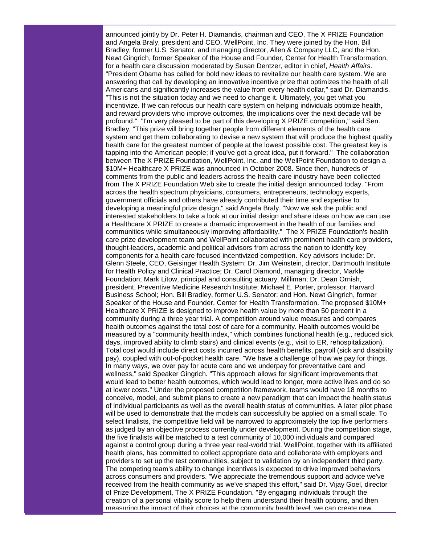announced jointly by Dr. Peter H. Diamandis, chairman and CEO, The X PRIZE Foundation and Angela Braly, president and CEO, WellPoint, Inc. They were joined by the Hon. Bill Bradley, former U.S. Senator, and managing director, Allen & Company LLC, and the Hon. Newt Gingrich, former Speaker of the House and Founder, Center for Health Transformation, for a health care discussion moderated by Susan Dentzer, editor in chief, *Health Affairs*. "President Obama has called for bold new ideas to revitalize our health care system. We are answering that call by developing an innovative incentive prize that optimizes the health of all Americans and significantly increases the value from every health dollar," said Dr. Diamandis. "This is not the situation today and we need to change it. Ultimately, you get what you incentivize. If we can refocus our health care system on helping individuals optimize health, and reward providers who improve outcomes, the implications over the next decade will be profound." "I'm very pleased to be part of this developing X PRIZE competition," said Sen. Bradley, "This prize will bring together people from different elements of the health care system and get them collaborating to devise a new system that will produce the highest quality health care for the greatest number of people at the lowest possible cost. The greatest key is tapping into the American people; if you've got a great idea, put it forward." The collaboration between The X PRIZE Foundation, WellPoint, Inc. and the WellPoint Foundation to design a \$10M+ Healthcare X PRIZE was announced in October 2008. Since then, hundreds of comments from the public and leaders across the health care industry have been collected from The X PRIZE Foundation Web site to create the initial design announced today. "From across the health spectrum physicians, consumers, entrepreneurs, technology experts, government officials and others have already contributed their time and expertise to developing a meaningful prize design," said Angela Braly. "Now we ask the public and interested stakeholders to take a look at our initial design and share ideas on how we can use a Healthcare X PRIZE to create a dramatic improvement in the health of our families and communities while simultaneously improving affordability." The X PRIZE Foundation's health care prize development team and WellPoint collaborated with prominent health care providers, thought-leaders, academic and political advisors from across the nation to identify key components for a health care focused incentivized competition. Key advisors include: Dr. Glenn Steele, CEO, Geisinger Health System; Dr. Jim Weinstein, director, Dartmouth Institute for Health Policy and Clinical Practice; Dr. Carol Diamond, managing director, Markle Foundation; Mark Litow, principal and consulting actuary, Milliman; Dr. Dean Ornish, president, Preventive Medicine Research Institute; Michael E. Porter, professor, Harvard Business School; Hon. Bill Bradley, former U.S. Senator; and Hon. Newt Gingrich, former Speaker of the House and Founder, Center for Health Transformation. The proposed \$10M+ Healthcare X PRIZE is designed to improve health value by more than 50 percent in a community during a three year trial. A competition around value measures and compares health outcomes against the total cost of care for a community. Health outcomes would be measured by a "community health index," which combines functional health (e.g., reduced sick days, improved ability to climb stairs) and clinical events (e.g., visit to ER, rehospitalization). Total cost would include direct costs incurred across health benefits, payroll (sick and disability pay), coupled with out-of-pocket health care. "We have a challenge of how we pay for things. In many ways, we over pay for acute care and we underpay for preventative care and wellness," said Speaker Gingrich. "This approach allows for significant improvements that would lead to better health outcomes, which would lead to longer, more active lives and do so at lower costs." Under the proposed competition framework, teams would have 18 months to conceive, model, and submit plans to create a new paradigm that can impact the health status of individual participants as well as the overall health status of communities. A later pilot phase will be used to demonstrate that the models can successfully be applied on a small scale. To select finalists, the competitive field will be narrowed to approximately the top five performers as judged by an objective process currently under development. During the competition stage, the five finalists will be matched to a test community of 10,000 individuals and compared against a control group during a three year real-world trial. WellPoint, together with its affiliated health plans, has committed to collect appropriate data and collaborate with employers and providers to set up the test communities, subject to validation by an independent third party. The competing team's ability to change incentives is expected to drive improved behaviors across consumers and providers. "We appreciate the tremendous support and advice we've received from the health community as we've shaped this effort," said Dr. Vijay Goel, director of Prize Development, The X PRIZE Foundation. "By engaging individuals through the creation of a personal vitality score to help them understand their health options, and then measuring the impact of their choices at the community health level, we can create new